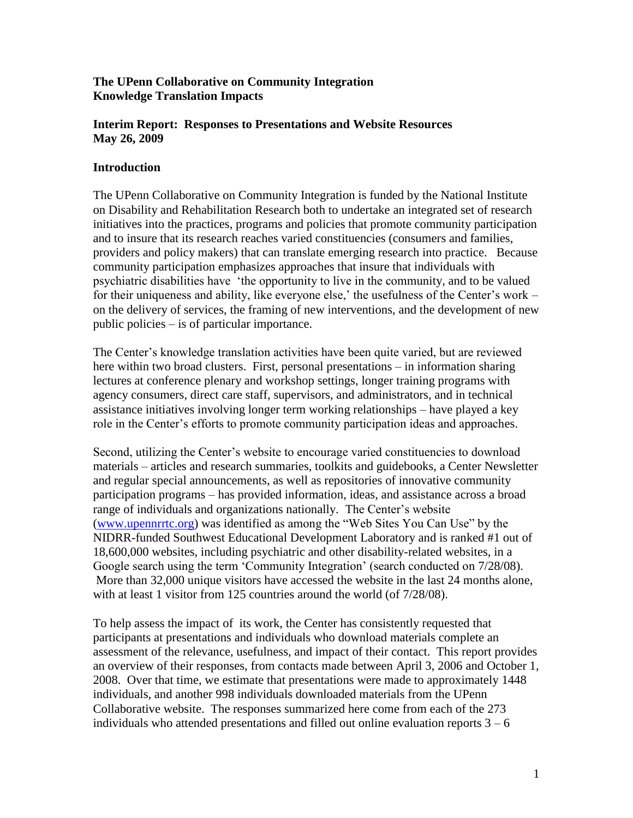# **The UPenn Collaborative on Community Integration Knowledge Translation Impacts**

## **Interim Report: Responses to Presentations and Website Resources May 26, 2009**

# **Introduction**

The UPenn Collaborative on Community Integration is funded by the National Institute on Disability and Rehabilitation Research both to undertake an integrated set of research initiatives into the practices, programs and policies that promote community participation and to insure that its research reaches varied constituencies (consumers and families, providers and policy makers) that can translate emerging research into practice. Because community participation emphasizes approaches that insure that individuals with psychiatric disabilities have "the opportunity to live in the community, and to be valued for their uniqueness and ability, like everyone else,' the usefulness of the Center's work – on the delivery of services, the framing of new interventions, and the development of new public policies – is of particular importance.

The Center's knowledge translation activities have been quite varied, but are reviewed here within two broad clusters. First, personal presentations – in information sharing lectures at conference plenary and workshop settings, longer training programs with agency consumers, direct care staff, supervisors, and administrators, and in technical assistance initiatives involving longer term working relationships – have played a key role in the Center"s efforts to promote community participation ideas and approaches.

Second, utilizing the Center"s website to encourage varied constituencies to download materials – articles and research summaries, toolkits and guidebooks, a Center Newsletter and regular special announcements, as well as repositories of innovative community participation programs – has provided information, ideas, and assistance across a broad range of individuals and organizations nationally. The Center's website [\(www.upennrrtc.org\)](http://www.upennrrtc.org/) was identified as among the "Web Sites You Can Use" by the NIDRR-funded Southwest Educational Development Laboratory and is ranked #1 out of 18,600,000 websites, including psychiatric and other disability-related websites, in a Google search using the term 'Community Integration' (search conducted on 7/28/08). More than 32,000 unique visitors have accessed the website in the last 24 months alone, with at least 1 visitor from 125 countries around the world (of 7/28/08).

To help assess the impact of its work, the Center has consistently requested that participants at presentations and individuals who download materials complete an assessment of the relevance, usefulness, and impact of their contact. This report provides an overview of their responses, from contacts made between April 3, 2006 and October 1, 2008. Over that time, we estimate that presentations were made to approximately 1448 individuals, and another 998 individuals downloaded materials from the UPenn Collaborative website. The responses summarized here come from each of the 273 individuals who attended presentations and filled out online evaluation reports  $3 - 6$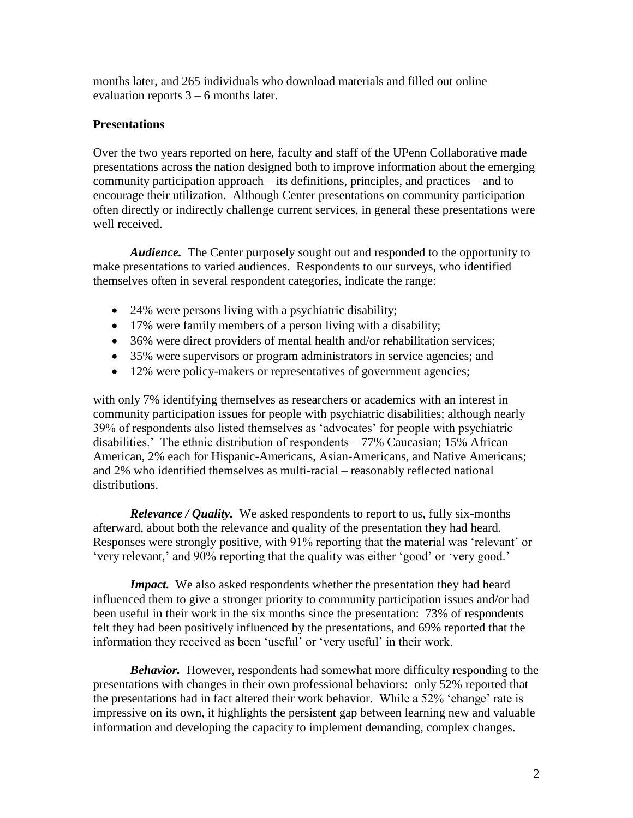months later, and 265 individuals who download materials and filled out online evaluation reports 3 – 6 months later.

## **Presentations**

Over the two years reported on here, faculty and staff of the UPenn Collaborative made presentations across the nation designed both to improve information about the emerging community participation approach – its definitions, principles, and practices – and to encourage their utilization. Although Center presentations on community participation often directly or indirectly challenge current services, in general these presentations were well received.

*Audience.* The Center purposely sought out and responded to the opportunity to make presentations to varied audiences. Respondents to our surveys, who identified themselves often in several respondent categories, indicate the range:

- 24% were persons living with a psychiatric disability;
- 17% were family members of a person living with a disability;
- 36% were direct providers of mental health and/or rehabilitation services;
- 35% were supervisors or program administrators in service agencies; and
- 12% were policy-makers or representatives of government agencies;

with only 7% identifying themselves as researchers or academics with an interest in community participation issues for people with psychiatric disabilities; although nearly 39% of respondents also listed themselves as "advocates" for people with psychiatric disabilities." The ethnic distribution of respondents – 77% Caucasian; 15% African American, 2% each for Hispanic-Americans, Asian-Americans, and Native Americans; and 2% who identified themselves as multi-racial – reasonably reflected national distributions.

*Relevance / Quality.* We asked respondents to report to us, fully six-months afterward, about both the relevance and quality of the presentation they had heard. Responses were strongly positive, with 91% reporting that the material was "relevant" or "very relevant," and 90% reporting that the quality was either "good" or "very good."

*Impact.* We also asked respondents whether the presentation they had heard influenced them to give a stronger priority to community participation issues and/or had been useful in their work in the six months since the presentation: 73% of respondents felt they had been positively influenced by the presentations, and 69% reported that the information they received as been "useful" or "very useful" in their work.

*Behavior.* However, respondents had somewhat more difficulty responding to the presentations with changes in their own professional behaviors: only 52% reported that the presentations had in fact altered their work behavior. While a 52% 'change' rate is impressive on its own, it highlights the persistent gap between learning new and valuable information and developing the capacity to implement demanding, complex changes.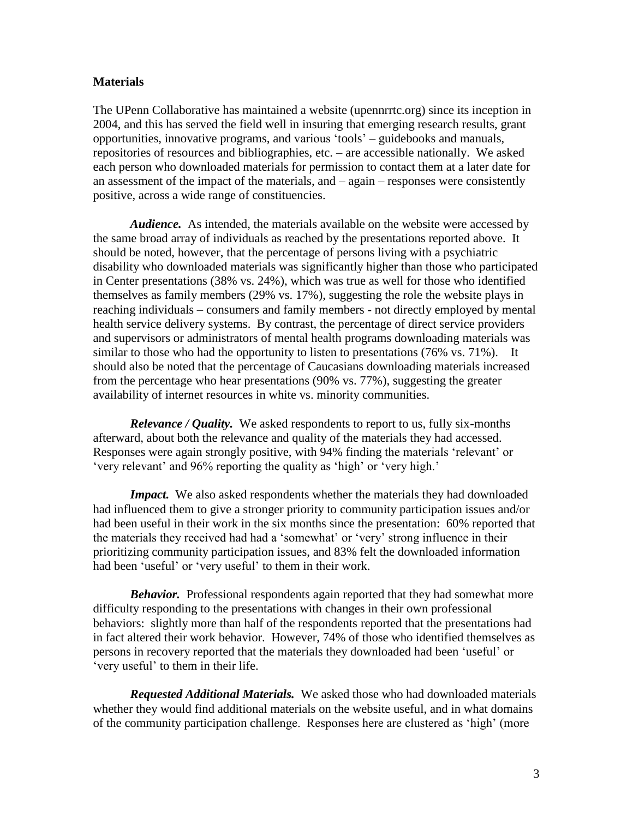#### **Materials**

The UPenn Collaborative has maintained a website (upennrrtc.org) since its inception in 2004, and this has served the field well in insuring that emerging research results, grant opportunities, innovative programs, and various "tools" – guidebooks and manuals, repositories of resources and bibliographies, etc. – are accessible nationally. We asked each person who downloaded materials for permission to contact them at a later date for an assessment of the impact of the materials, and – again – responses were consistently positive, across a wide range of constituencies.

*Audience.* As intended, the materials available on the website were accessed by the same broad array of individuals as reached by the presentations reported above. It should be noted, however, that the percentage of persons living with a psychiatric disability who downloaded materials was significantly higher than those who participated in Center presentations (38% vs. 24%), which was true as well for those who identified themselves as family members (29% vs. 17%), suggesting the role the website plays in reaching individuals – consumers and family members - not directly employed by mental health service delivery systems. By contrast, the percentage of direct service providers and supervisors or administrators of mental health programs downloading materials was similar to those who had the opportunity to listen to presentations (76% vs. 71%). It should also be noted that the percentage of Caucasians downloading materials increased from the percentage who hear presentations (90% vs. 77%), suggesting the greater availability of internet resources in white vs. minority communities.

*Relevance / Quality.* We asked respondents to report to us, fully six-months afterward, about both the relevance and quality of the materials they had accessed. Responses were again strongly positive, with 94% finding the materials "relevant" or 'very relevant' and 96% reporting the quality as 'high' or 'very high.'

*Impact.* We also asked respondents whether the materials they had downloaded had influenced them to give a stronger priority to community participation issues and/or had been useful in their work in the six months since the presentation: 60% reported that the materials they received had had a "somewhat" or "very" strong influence in their prioritizing community participation issues, and 83% felt the downloaded information had been 'useful' or 'very useful' to them in their work.

*Behavior.* Professional respondents again reported that they had somewhat more difficulty responding to the presentations with changes in their own professional behaviors: slightly more than half of the respondents reported that the presentations had in fact altered their work behavior. However, 74% of those who identified themselves as persons in recovery reported that the materials they downloaded had been "useful" or 'very useful' to them in their life.

*Requested Additional Materials.* We asked those who had downloaded materials whether they would find additional materials on the website useful, and in what domains of the community participation challenge. Responses here are clustered as "high" (more